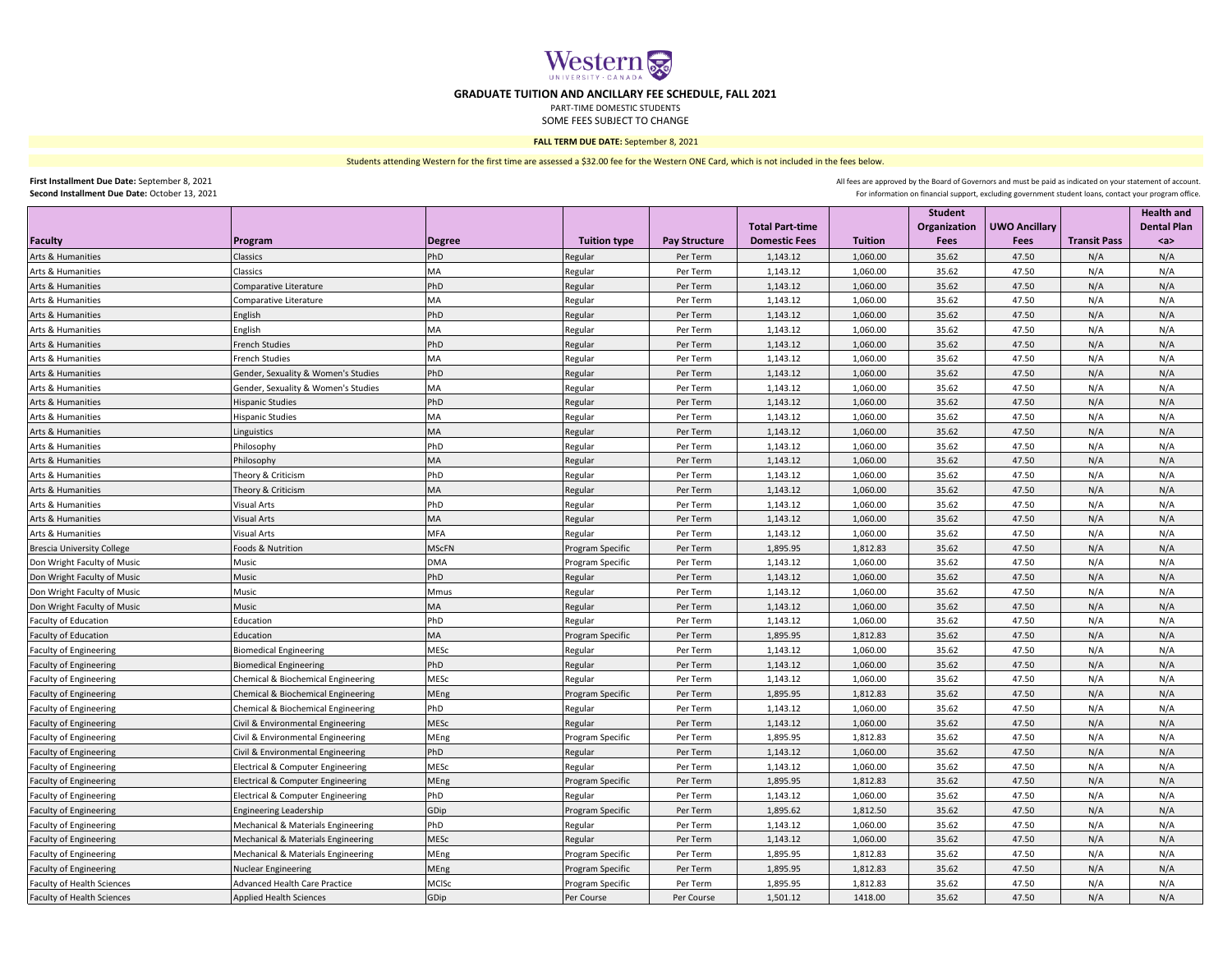

## **GRADUATE TUITION AND ANCILLARY FEE SCHEDULE, FALL 2021**

PART-TIME DOMESTIC STUDENTS

SOME FEES SUBJECT TO CHANGE

## **FALL TERM DUE DATE:** September 8, 2021

Students attending Western for the first time are assessed a \$32.00 fee for the Western ONE Card, which is not included in the fees below.

**First Installment Due Date:** September 8, 2021 **Second Installment Due Date:** October 13, 2021 All fees are approved by the Board of Governors and must be paid as indicated on your statement of account. For information on financial support, excluding government student loans, contact your program office.

| <b>Faculty</b>                    | Program                              | <b>Degree</b> | <b>Tuition type</b> | <b>Pay Structure</b> | <b>Total Part-time</b><br><b>Domestic Fees</b> | <b>Tuition</b> | <b>Student</b><br>Organization<br>Fees | <b>UWO Ancillary</b><br>Fees | <b>Transit Pass</b> | <b>Health and</b><br><b>Dental Plan</b><br><a></a> |
|-----------------------------------|--------------------------------------|---------------|---------------------|----------------------|------------------------------------------------|----------------|----------------------------------------|------------------------------|---------------------|----------------------------------------------------|
| Arts & Humanities                 | Classics                             | PhD           | Regular             | Per Term             | 1,143.12                                       | 1.060.00       | 35.62                                  | 47.50                        | N/A                 | N/A                                                |
| Arts & Humanities                 | Classics                             | MA            | Regular             | Per Term             | 1,143.12                                       | 1,060.00       | 35.62                                  | 47.50                        | N/A                 | N/A                                                |
| Arts & Humanities                 | Comparative Literature               | PhD           | Regular             | Per Term             | 1,143.12                                       | 1,060.00       | 35.62                                  | 47.50                        | N/A                 | N/A                                                |
| <b>Arts &amp; Humanities</b>      | Comparative Literature               | MA            | Regular             | Per Term             | 1,143.12                                       | 1,060.00       | 35.62                                  | 47.50                        | N/A                 | N/A                                                |
| <b>Arts &amp; Humanities</b>      | English                              | PhD           | Regular             | Per Term             | 1,143.12                                       | 1,060.00       | 35.62                                  | 47.50                        | N/A                 | N/A                                                |
| Arts & Humanities                 | English                              | MA            | Regular             | Per Term             | 1,143.12                                       | 1,060.00       | 35.62                                  | 47.50                        | N/A                 | N/A                                                |
| Arts & Humanities                 | <b>French Studies</b>                | PhD           | Regular             | Per Term             | 1,143.12                                       | 1,060.00       | 35.62                                  | 47.50                        | N/A                 | N/A                                                |
| Arts & Humanities                 | <b>French Studies</b>                | МA            | Regular             | Per Term             | 1,143.12                                       | 1,060.00       | 35.62                                  | 47.50                        | N/A                 | N/A                                                |
| Arts & Humanities                 | Gender, Sexuality & Women's Studies  | PhD           | Regular             | Per Term             | 1,143.12                                       | 1,060.00       | 35.62                                  | 47.50                        | N/A                 | N/A                                                |
| Arts & Humanities                 | Gender, Sexuality & Women's Studies  | МA            | Regular             | Per Term             | 1,143.12                                       | 1,060.00       | 35.62                                  | 47.50                        | N/A                 | N/A                                                |
| Arts & Humanities                 | <b>Hispanic Studies</b>              | PhD           | Regular             | Per Term             | 1,143.12                                       | 1,060.00       | 35.62                                  | 47.50                        | N/A                 | N/A                                                |
| Arts & Humanities                 | <b>Hispanic Studies</b>              | MA            | Regular             | Per Term             | 1,143.12                                       | 1,060.00       | 35.62                                  | 47.50                        | N/A                 | N/A                                                |
| Arts & Humanities                 | Linguistics                          | <b>MA</b>     | Regular             | Per Term             | 1,143.12                                       | 1,060.00       | 35.62                                  | 47.50                        | N/A                 | N/A                                                |
| Arts & Humanities                 | Philosophy                           | PhD           | Regular             | Per Term             | 1,143.12                                       | 1,060.00       | 35.62                                  | 47.50                        | N/A                 | N/A                                                |
| Arts & Humanities                 | Philosophy                           | MA            | Regular             | Per Term             | 1,143.12                                       | 1,060.00       | 35.62                                  | 47.50                        | N/A                 | N/A                                                |
| Arts & Humanities                 | Theory & Criticism                   | PhD           | Regular             | Per Term             | 1,143.12                                       | 1,060.00       | 35.62                                  | 47.50                        | N/A                 | N/A                                                |
| Arts & Humanities                 | Theory & Criticism                   | МA            | Regular             | Per Term             | 1,143.12                                       | 1,060.00       | 35.62                                  | 47.50                        | N/A                 | N/A                                                |
| Arts & Humanities                 | Visual Arts                          | PhD           | Regular             | Per Term             | 1,143.12                                       | 1,060.00       | 35.62                                  | 47.50                        | N/A                 | N/A                                                |
| Arts & Humanities                 | Visual Arts                          | MA            | Regular             | Per Term             | 1,143.12                                       | 1,060.00       | 35.62                                  | 47.50                        | N/A                 | N/A                                                |
| Arts & Humanities                 | Visual Arts                          | MFA           | Regular             | Per Term             | 1,143.12                                       | 1,060.00       | 35.62                                  | 47.50                        | N/A                 | N/A                                                |
| <b>Brescia University College</b> | Foods & Nutrition                    | <b>MScFN</b>  | Program Specific    | Per Term             | 1,895.95                                       | 1,812.83       | 35.62                                  | 47.50                        | N/A                 | N/A                                                |
| Don Wright Faculty of Music       | Music                                | DMA           | Program Specific    | Per Term             | 1,143.12                                       | 1,060.00       | 35.62                                  | 47.50                        | N/A                 | N/A                                                |
| Don Wright Faculty of Music       | Music                                | PhD           | Regular             | Per Term             | 1,143.12                                       | 1,060.00       | 35.62                                  | 47.50                        | N/A                 | N/A                                                |
| Don Wright Faculty of Music       | Music                                | Mmus          | Regular             | Per Term             | 1,143.12                                       | 1,060.00       | 35.62                                  | 47.50                        | N/A                 | N/A                                                |
| Don Wright Faculty of Music       | Music                                | <b>MA</b>     | Regular             | Per Term             | 1,143.12                                       | 1,060.00       | 35.62                                  | 47.50                        | N/A                 | N/A                                                |
| <b>Faculty of Education</b>       | Education                            | PhD           | Regular             | Per Term             | 1,143.12                                       | 1.060.00       | 35.62                                  | 47.50                        | N/A                 | N/A                                                |
| <b>Faculty of Education</b>       | Education                            | <b>MA</b>     | Program Specific    | Per Term             | 1,895.95                                       | 1,812.83       | 35.62                                  | 47.50                        | N/A                 | N/A                                                |
| <b>Faculty of Engineering</b>     | <b>Biomedical Engineering</b>        | MESc          | Regular             | Per Term             | 1,143.12                                       | 1,060.00       | 35.62                                  | 47.50                        | N/A                 | N/A                                                |
| <b>Faculty of Engineering</b>     | <b>Biomedical Engineering</b>        | PhD           | Regular             | Per Term             | 1,143.12                                       | 1,060.00       | 35.62                                  | 47.50                        | N/A                 | N/A                                                |
| <b>Faculty of Engineering</b>     | Chemical & Biochemical Engineering   | MESc          | Regular             | Per Term             | 1,143.12                                       | 1,060.00       | 35.62                                  | 47.50                        | N/A                 | N/A                                                |
| <b>Faculty of Engineering</b>     | Chemical & Biochemical Engineering   | MEng          | Program Specific    | Per Term             | 1,895.95                                       | 1.812.83       | 35.62                                  | 47.50                        | N/A                 | N/A                                                |
| <b>Faculty of Engineering</b>     | Chemical & Biochemical Engineering   | PhD           | Regular             | Per Term             | 1,143.12                                       | 1,060.00       | 35.62                                  | 47.50                        | N/A                 | N/A                                                |
| <b>Faculty of Engineering</b>     | Civil & Environmental Engineering    | MESc          | Regular             | Per Term             | 1,143.12                                       | 1,060.00       | 35.62                                  | 47.50                        | N/A                 | N/A                                                |
| <b>Faculty of Engineering</b>     | Civil & Environmental Engineering    | MEng          | Program Specific    | Per Term             | 1,895.95                                       | 1,812.83       | 35.62                                  | 47.50                        | N/A                 | N/A                                                |
| <b>Faculty of Engineering</b>     | Civil & Environmental Engineering    | PhD           | Regular             | Per Term             | 1,143.12                                       | 1,060.00       | 35.62                                  | 47.50                        | N/A                 | N/A                                                |
| <b>Faculty of Engineering</b>     | Electrical & Computer Engineering    | <b>MESc</b>   | Regular             | Per Term             | 1,143.12                                       | 1,060.00       | 35.62                                  | 47.50                        | N/A                 | N/A                                                |
| <b>Faculty of Engineering</b>     | Electrical & Computer Engineering    | <b>AEng</b>   | Program Specific    | Per Term             | 1,895.95                                       | 1,812.83       | 35.62                                  | 47.50                        | N/A                 | N/A                                                |
| <b>Faculty of Engineering</b>     | Electrical & Computer Engineering    | PhD           | Regular             | Per Term             | 1,143.12                                       | 1,060.00       | 35.62                                  | 47.50                        | N/A                 | N/A                                                |
| <b>Faculty of Engineering</b>     | <b>Engineering Leadership</b>        | GDip          | Program Specific    | Per Term             | 1,895.62                                       | 1,812.50       | 35.62                                  | 47.50                        | N/A                 | N/A                                                |
| <b>Faculty of Engineering</b>     | Mechanical & Materials Engineering   | PhD           | Regular             | Per Term             | 1,143.12                                       | 1,060.00       | 35.62                                  | 47.50                        | N/A                 | N/A                                                |
| <b>Faculty of Engineering</b>     | Mechanical & Materials Engineering   | MESc          | Regular             | Per Term             | 1,143.12                                       | 1,060.00       | 35.62                                  | 47.50                        | N/A                 | N/A                                                |
| <b>Faculty of Engineering</b>     | Mechanical & Materials Engineering   | MEng          | Program Specific    | Per Term             | 1,895.95                                       | 1,812.83       | 35.62                                  | 47.50                        | N/A                 | N/A                                                |
| <b>Faculty of Engineering</b>     | Nuclear Engineering                  | MEng          | Program Specific    | Per Term             | 1,895.95                                       | 1,812.83       | 35.62                                  | 47.50                        | N/A                 | N/A                                                |
| <b>Faculty of Health Sciences</b> | <b>Advanced Health Care Practice</b> | MCISc         | Program Specific    | Per Term             | 1,895.95                                       | 1,812.83       | 35.62                                  | 47.50                        | N/A                 | N/A                                                |
| <b>Faculty of Health Sciences</b> | <b>Applied Health Sciences</b>       | GDip          | Per Course          | Per Course           | 1.501.12                                       | 1418.00        | 35.62                                  | 47.50                        | N/A                 | N/A                                                |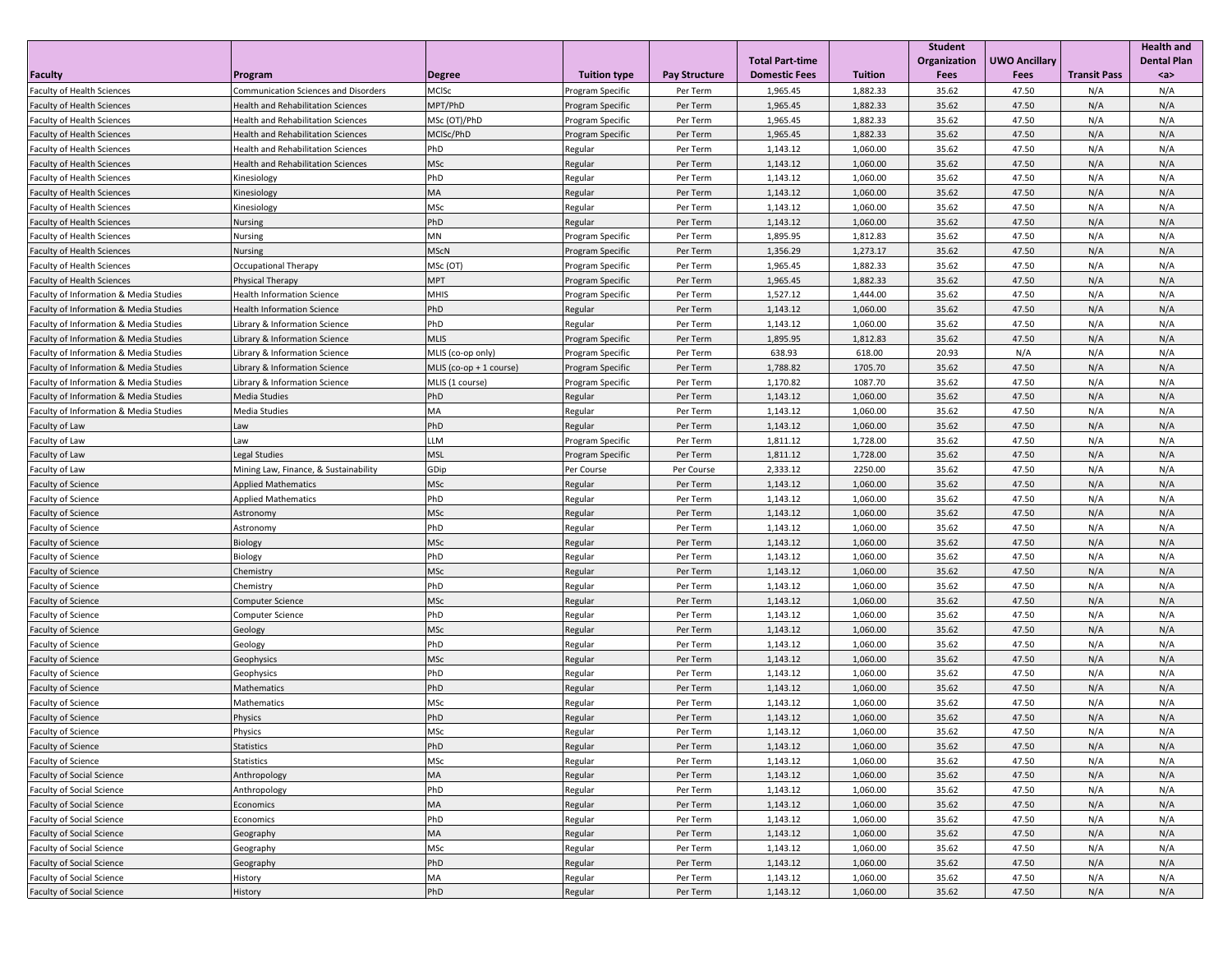|                                        |                                             |                         |                     |                      |                        |                | <b>Student</b> |                      |                     | <b>Health and</b>  |
|----------------------------------------|---------------------------------------------|-------------------------|---------------------|----------------------|------------------------|----------------|----------------|----------------------|---------------------|--------------------|
|                                        |                                             |                         |                     |                      | <b>Total Part-time</b> |                | Organization   | <b>UWO Ancillary</b> |                     | <b>Dental Plan</b> |
| <b>Faculty</b>                         | Program                                     | <b>Degree</b>           | <b>Tuition type</b> | <b>Pay Structure</b> | <b>Domestic Fees</b>   | <b>Tuition</b> | Fees           | Fees                 | <b>Transit Pass</b> | $a$                |
| <b>Faculty of Health Sciences</b>      | <b>Communication Sciences and Disorders</b> | MCISc                   | Program Specific    | Per Term             | 1,965.45               | 1,882.33       | 35.62          | 47.50                | N/A                 | N/A                |
| <b>Faculty of Health Sciences</b>      | <b>Health and Rehabilitation Sciences</b>   | MPT/PhD                 | Program Specific    | Per Term             | 1,965.45               | 1,882.33       | 35.62          | 47.50                | N/A                 | N/A                |
| <b>Faculty of Health Sciences</b>      | Health and Rehabilitation Sciences          | MSc (OT)/PhD            | Program Specific    | Per Term             | 1,965.45               | 1,882.33       | 35.62          | 47.50                | N/A                 | N/A                |
| <b>Faculty of Health Sciences</b>      | Health and Rehabilitation Sciences          | MCISc/PhD               | Program Specific    | Per Term             | 1,965.45               | 1,882.33       | 35.62          | 47.50                | N/A                 | N/A                |
| <b>Faculty of Health Sciences</b>      | <b>Health and Rehabilitation Sciences</b>   | PhD                     | Regular             | Per Term             | 1,143.12               | 1,060.00       | 35.62          | 47.50                | N/A                 | N/A                |
| <b>Faculty of Health Sciences</b>      | Health and Rehabilitation Sciences          | MSc                     | Regular             | Per Term             | 1,143.12               | 1,060.00       | 35.62          | 47.50                | N/A                 | N/A                |
| <b>Faculty of Health Sciences</b>      | Kinesiology                                 | PhD                     | Regular             | Per Term             | 1,143.12               | 1,060.00       | 35.62          | 47.50                | N/A                 | N/A                |
| <b>Faculty of Health Sciences</b>      | Kinesiology                                 | MA                      | Regular             | Per Term             | 1,143.12               | 1,060.00       | 35.62          | 47.50                | N/A                 | N/A                |
| <b>Faculty of Health Sciences</b>      | Kinesiology                                 | MSc                     | Regular             | Per Term             | 1,143.12               | 1,060.00       | 35.62          | 47.50                | N/A                 | N/A                |
| <b>Faculty of Health Sciences</b>      | Nursing                                     | PhD                     | Regular             | Per Term             | 1,143.12               | 1,060.00       | 35.62          | 47.50                | N/A                 | N/A                |
| <b>Faculty of Health Sciences</b>      | Nursing                                     | MN                      | Program Specific    | Per Term             | 1,895.95               | 1,812.83       | 35.62          | 47.50                | N/A                 | N/A                |
| <b>Faculty of Health Sciences</b>      | Nursing                                     | <b>MScN</b>             | Program Specific    | Per Term             | 1,356.29               | 1,273.17       | 35.62          | 47.50                | N/A                 | N/A                |
| Faculty of Health Sciences             | Occupational Therapy                        | MSc (OT)                | Program Specific    | Per Term             | 1,965.45               | 1,882.33       | 35.62          | 47.50                | N/A                 | N/A                |
| <b>Faculty of Health Sciences</b>      | Physical Therapy                            | <b>MPT</b>              | Program Specific    | Per Term             | 1,965.45               | 1,882.33       | 35.62          | 47.50                | N/A                 | N/A                |
| Faculty of Information & Media Studies | Health Information Science                  | MHIS                    | Program Specific    | Per Term             | 1,527.12               | 1,444.00       | 35.62          | 47.50                | N/A                 | N/A                |
| Faculty of Information & Media Studies | lealth Information Science                  | PhD                     | Regular             | Per Term             | 1,143.12               | 1,060.00       | 35.62          | 47.50                | N/A                 | N/A                |
| Faculty of Information & Media Studies | ibrary & Information Science                | PhD                     | Regular             | Per Term             | 1,143.12               | 1,060.00       | 35.62          | 47.50                | N/A                 | N/A                |
| Faculty of Information & Media Studies | ibrary & Information Science                | MLIS                    | Program Specific    | Per Term             | 1,895.95               | 1,812.83       | 35.62          | 47.50                | N/A                 | N/A                |
| Faculty of Information & Media Studies | ibrary & Information Science                | MLIS (co-op only)       | Program Specific    | Per Term             | 638.93                 | 618.00         | 20.93          | N/A                  | N/A                 | N/A                |
| Faculty of Information & Media Studies | ibrary & Information Science                | MLIS (co-op + 1 course) | Program Specific    | Per Term             | 1,788.82               | 1705.70        | 35.62          | 47.50                | N/A                 | N/A                |
| Faculty of Information & Media Studies | ibrary & Information Science                | MLIS (1 course)         | Program Specific    | Per Term             | 1,170.82               | 1087.70        | 35.62          | 47.50                | N/A                 | N/A                |
| Faculty of Information & Media Studies | Media Studies                               | PhD                     | Regular             | Per Term             | 1,143.12               | 1,060.00       | 35.62          | 47.50                | N/A                 | N/A                |
| Faculty of Information & Media Studies | Media Studies                               | MA                      | Regular             | Per Term             | 1,143.12               | 1,060.00       | 35.62          | 47.50                | N/A                 | N/A                |
| Faculty of Law                         | wa                                          | PhD                     | Regular             | Per Term             | 1,143.12               | 1,060.00       | 35.62          | 47.50                | N/A                 | N/A                |
| Faculty of Law                         | aw                                          | LLM                     | Program Specific    | Per Term             | 1,811.12               | 1,728.00       | 35.62          | 47.50                | N/A                 | N/A                |
| Faculty of Law                         | Legal Studies                               | MSL                     | Program Specific    | Per Term             | 1,811.12               | 1,728.00       | 35.62          | 47.50                | N/A                 | N/A                |
| Faculty of Law                         | Mining Law, Finance, & Sustainability       | GDip                    | Per Course          | Per Course           | 2,333.12               | 2250.00        | 35.62          | 47.50                | N/A                 | N/A                |
|                                        |                                             | MSc                     |                     |                      |                        |                | 35.62          | 47.50                | N/A                 | N/A                |
| <b>Faculty of Science</b>              | <b>Applied Mathematics</b>                  | PhD                     | Regular             | Per Term             | 1,143.12               | 1,060.00       |                | 47.50                |                     |                    |
| Faculty of Science                     | <b>Applied Mathematics</b>                  |                         | Regular             | Per Term             | 1,143.12               | 1,060.00       | 35.62          |                      | N/A                 | N/A                |
| <b>Faculty of Science</b>              | Astronomy                                   | MSc                     | Regular             | Per Term             | 1,143.12               | 1,060.00       | 35.62          | 47.50                | N/A                 | N/A                |
| <b>Faculty of Science</b>              | Astronomy                                   | PhD                     | Regular             | Per Term             | 1,143.12               | 1,060.00       | 35.62          | 47.50                | N/A                 | N/A                |
| <b>Faculty of Science</b>              | Biology                                     | MSc                     | Regular             | Per Term             | 1,143.12               | 1,060.00       | 35.62          | 47.50                | N/A                 | N/A                |
| <b>Faculty of Science</b>              | Biology                                     | PhD                     | Regular             | Per Term             | 1,143.12               | 1,060.00       | 35.62          | 47.50                | N/A                 | N/A                |
| <b>Faculty of Science</b>              | Chemistry                                   | <b>MSc</b>              | Regular             | Per Term             | 1,143.12               | 1,060.00       | 35.62          | 47.50                | N/A                 | N/A                |
| Faculty of Science                     | Chemistry                                   | PhD                     | Regular             | Per Term             | 1,143.12               | 1,060.00       | 35.62          | 47.50                | N/A                 | N/A                |
| <b>Faculty of Science</b>              | Computer Science                            | MSc                     | Regular             | Per Term             | 1,143.12               | 1,060.00       | 35.62          | 47.50                | N/A                 | N/A                |
| Faculty of Science                     | Computer Science                            | PhD                     | Regular             | Per Term             | 1,143.12               | 1,060.00       | 35.62          | 47.50                | N/A                 | N/A                |
| <b>Faculty of Science</b>              | Geology                                     | <b>MSc</b>              | Regular             | Per Term             | 1,143.12               | 1,060.00       | 35.62          | 47.50                | N/A                 | N/A                |
| Faculty of Science                     | Geology                                     | PhD                     | Regular             | Per Term             | 1,143.12               | 1,060.00       | 35.62          | 47.50                | N/A                 | N/A                |
| <b>Faculty of Science</b>              | Geophysics                                  | <b>MSc</b>              | Regular             | Per Term             | 1,143.12               | 1,060.00       | 35.62          | 47.50                | N/A                 | N/A                |
| <b>Faculty of Science</b>              | Geophysics                                  | PhD                     | Regular             | Per Term             | 1,143.12               | 1,060.00       | 35.62          | 47.50                | N/A                 | N/A                |
| <b>Faculty of Science</b>              | Mathematics                                 | PhD                     | Regular             | Per Term             | 1,143.12               | 1,060.00       | 35.62          | 47.50                | N/A                 | N/A                |
| Faculty of Science                     | Mathematics                                 | MSc                     | Regular             | Per Term             | 1,143.12               | 1,060.00       | 35.62          | 47.50                | N/A                 | N/A                |
| Faculty of Science                     | Physics                                     | PhD                     | Regular             | Per Term             | 1,143.12               | 1,060.00       | 35.62          | 47.50                | N/A                 | N/A                |
| <b>Faculty of Science</b>              | Physics                                     | MSc                     | Regular             | Per Term             | 1,143.12               | 1,060.00       | 35.62          | 47.50                | N/A                 | N/A                |
| <b>Faculty of Science</b>              | <b>Statistics</b>                           | PhD                     | Regular             | Per Term             | 1,143.12               | 1,060.00       | 35.62          | 47.50                | N/A                 | N/A                |
| Faculty of Science                     | <b>Statistics</b>                           | MSc                     | Regular             | Per Term             | 1,143.12               | 1,060.00       | 35.62          | 47.50                | N/A                 | N/A                |
| Faculty of Social Science              | Anthropology                                | MA                      | Regular             | Per Term             | 1,143.12               | 1,060.00       | 35.62          | 47.50                | N/A                 | N/A                |
| Faculty of Social Science              | Anthropology                                | PhD                     | Regular             | Per Term             | 1,143.12               | 1,060.00       | 35.62          | 47.50                | N/A                 | N/A                |
| <b>Faculty of Social Science</b>       | Economics                                   | МA                      | Regular             | Per Term             | 1,143.12               | 1,060.00       | 35.62          | 47.50                | N/A                 | N/A                |
| <b>Faculty of Social Science</b>       | Economics                                   | PhD                     | Regular             | Per Term             | 1,143.12               | 1,060.00       | 35.62          | 47.50                | N/A                 | N/A                |
| <b>Faculty of Social Science</b>       | Geography                                   | MA                      | Regular             | Per Term             | 1,143.12               | 1,060.00       | 35.62          | 47.50                | N/A                 | N/A                |
| Faculty of Social Science              | Geography                                   | MSc                     | Regular             | Per Term             | 1,143.12               | 1,060.00       | 35.62          | 47.50                | N/A                 | N/A                |
| Faculty of Social Science              | Geography                                   | PhD                     | Regular             | Per Term             | 1,143.12               | 1,060.00       | 35.62          | 47.50                | N/A                 | N/A                |
| Faculty of Social Science              | History                                     | MA                      | Regular             | Per Term             | 1,143.12               | 1,060.00       | 35.62          | 47.50                | N/A                 | N/A                |
| <b>Faculty of Social Science</b>       | History                                     | PhD                     | Regular             | Per Term             | 1,143.12               | 1,060.00       | 35.62          | 47.50                | N/A                 | N/A                |